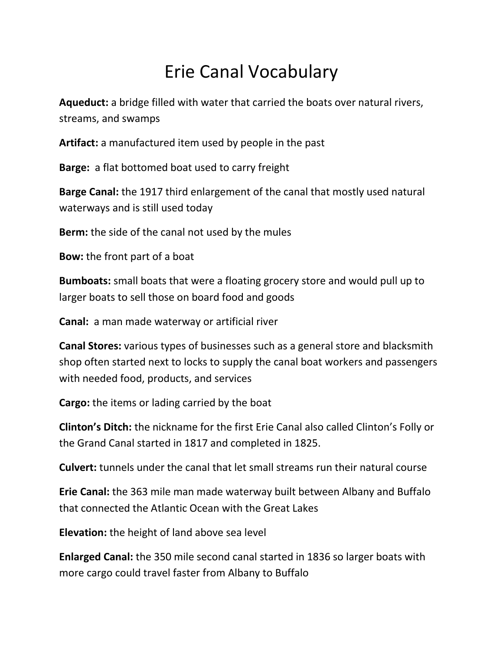## Erie Canal Vocabulary

**Aqueduct:** a bridge filled with water that carried the boats over natural rivers, streams, and swamps

**Artifact:** a manufactured item used by people in the past

**Barge:** a flat bottomed boat used to carry freight

**Barge Canal:** the 1917 third enlargement of the canal that mostly used natural waterways and is still used today

**Berm:** the side of the canal not used by the mules

**Bow:** the front part of a boat

**Bumboats:** small boats that were a floating grocery store and would pull up to larger boats to sell those on board food and goods

**Canal:** a man made waterway or artificial river

**Canal Stores:** various types of businesses such as a general store and blacksmith shop often started next to locks to supply the canal boat workers and passengers with needed food, products, and services

**Cargo:** the items or lading carried by the boat

**Clinton's Ditch:** the nickname for the first Erie Canal also called Clinton's Folly or the Grand Canal started in 1817 and completed in 1825.

**Culvert:** tunnels under the canal that let small streams run their natural course

**Erie Canal:** the 363 mile man made waterway built between Albany and Buffalo that connected the Atlantic Ocean with the Great Lakes

**Elevation:** the height of land above sea level

**Enlarged Canal:** the 350 mile second canal started in 1836 so larger boats with more cargo could travel faster from Albany to Buffalo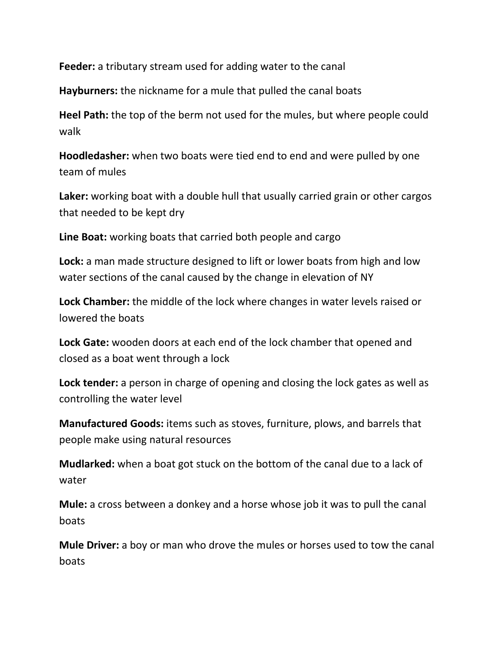**Feeder:** a tributary stream used for adding water to the canal

**Hayburners:** the nickname for a mule that pulled the canal boats

**Heel Path:** the top of the berm not used for the mules, but where people could walk

**Hoodledasher:** when two boats were tied end to end and were pulled by one team of mules

**Laker:** working boat with a double hull that usually carried grain or other cargos that needed to be kept dry

**Line Boat:** working boats that carried both people and cargo

**Lock:** a man made structure designed to lift or lower boats from high and low water sections of the canal caused by the change in elevation of NY

**Lock Chamber:** the middle of the lock where changes in water levels raised or lowered the boats

**Lock Gate:** wooden doors at each end of the lock chamber that opened and closed as a boat went through a lock

**Lock tender:** a person in charge of opening and closing the lock gates as well as controlling the water level

**Manufactured Goods:** items such as stoves, furniture, plows, and barrels that people make using natural resources

**Mudlarked:** when a boat got stuck on the bottom of the canal due to a lack of water

**Mule:** a cross between a donkey and a horse whose job it was to pull the canal boats

**Mule Driver:** a boy or man who drove the mules or horses used to tow the canal boats